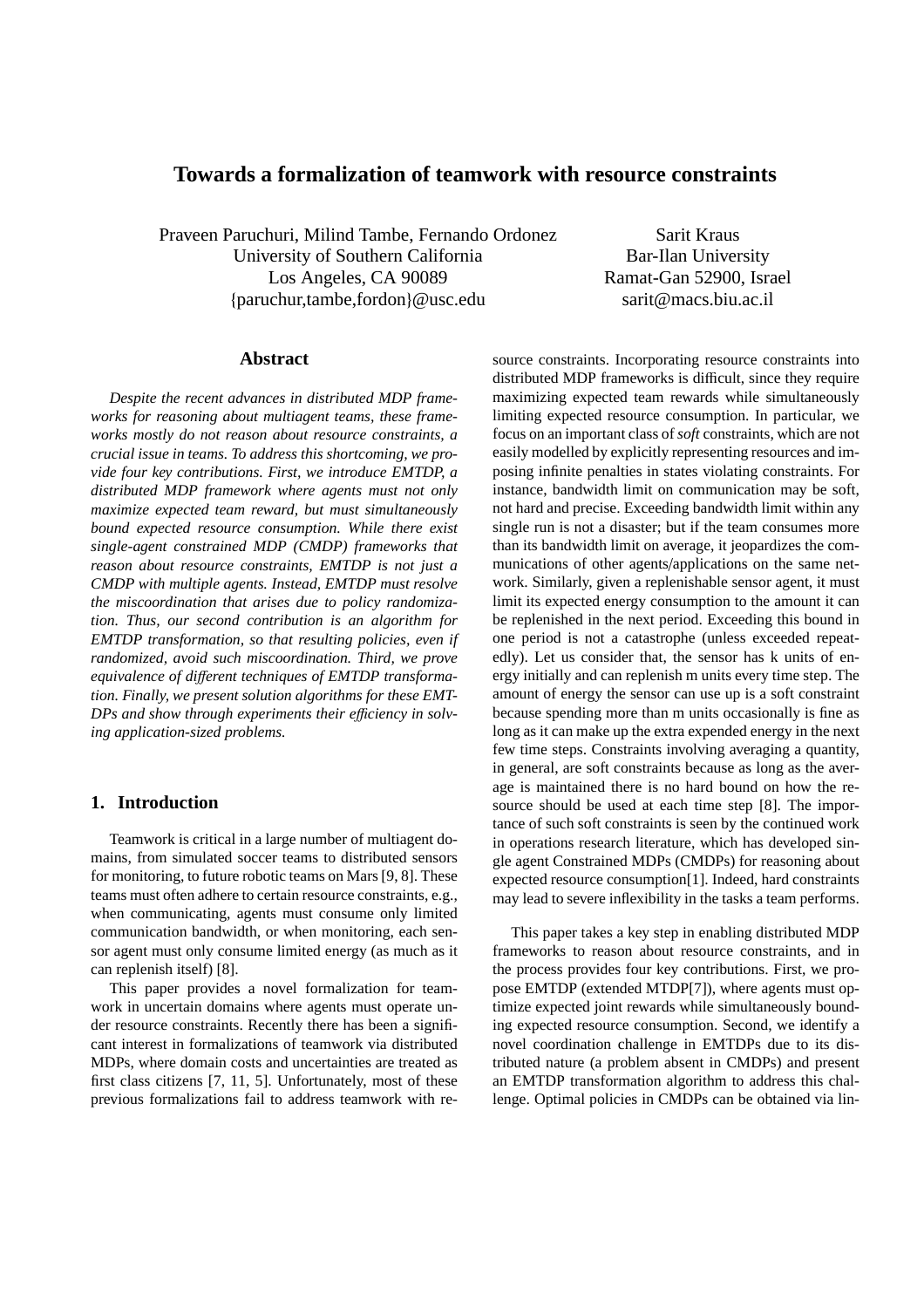# **Towards a formalization of teamwork with resource constraints**

Praveen Paruchuri, Milind Tambe, Fernando Ordonez University of Southern California Los Angeles, CA 90089 {paruchur,tambe,fordon}@usc.edu

Sarit Kraus Bar-Ilan University Ramat-Gan 52900, Israel sarit@macs.biu.ac.il

## **Abstract**

*Despite the recent advances in distributed MDP frameworks for reasoning about multiagent teams, these frameworks mostly do not reason about resource constraints, a crucial issue in teams. To address this shortcoming, we provide four key contributions. First, we introduce EMTDP, a distributed MDP framework where agents must not only maximize expected team reward, but must simultaneously bound expected resource consumption. While there exist single-agent constrained MDP (CMDP) frameworks that reason about resource constraints, EMTDP is not just a CMDP with multiple agents. Instead, EMTDP must resolve the miscoordination that arises due to policy randomization. Thus, our second contribution is an algorithm for EMTDP transformation, so that resulting policies, even if randomized, avoid such miscoordination. Third, we prove equivalence of di*ff*erent techniques of EMTDP transformation. Finally, we present solution algorithms for these EMT-DPs and show through experiments their e*ffi*ciency in solving application-sized problems.*

# **1. Introduction**

Teamwork is critical in a large number of multiagent domains, from simulated soccer teams to distributed sensors for monitoring, to future robotic teams on Mars [9, 8]. These teams must often adhere to certain resource constraints, e.g., when communicating, agents must consume only limited communication bandwidth, or when monitoring, each sensor agent must only consume limited energy (as much as it can replenish itself) [8].

This paper provides a novel formalization for teamwork in uncertain domains where agents must operate under resource constraints. Recently there has been a significant interest in formalizations of teamwork via distributed MDPs, where domain costs and uncertainties are treated as first class citizens [7, 11, 5]. Unfortunately, most of these previous formalizations fail to address teamwork with resource constraints. Incorporating resource constraints into distributed MDP frameworks is difficult, since they require maximizing expected team rewards while simultaneously limiting expected resource consumption. In particular, we focus on an important class of *soft* constraints, which are not easily modelled by explicitly representing resources and imposing infinite penalties in states violating constraints. For instance, bandwidth limit on communication may be soft, not hard and precise. Exceeding bandwidth limit within any single run is not a disaster; but if the team consumes more than its bandwidth limit on average, it jeopardizes the communications of other agents/applications on the same network. Similarly, given a replenishable sensor agent, it must limit its expected energy consumption to the amount it can be replenished in the next period. Exceeding this bound in one period is not a catastrophe (unless exceeded repeatedly). Let us consider that, the sensor has k units of energy initially and can replenish m units every time step. The amount of energy the sensor can use up is a soft constraint because spending more than m units occasionally is fine as long as it can make up the extra expended energy in the next few time steps. Constraints involving averaging a quantity, in general, are soft constraints because as long as the average is maintained there is no hard bound on how the resource should be used at each time step [8]. The importance of such soft constraints is seen by the continued work in operations research literature, which has developed single agent Constrained MDPs (CMDPs) for reasoning about expected resource consumption[1]. Indeed, hard constraints may lead to severe inflexibility in the tasks a team performs.

This paper takes a key step in enabling distributed MDP frameworks to reason about resource constraints, and in the process provides four key contributions. First, we propose EMTDP (extended MTDP[7]), where agents must optimize expected joint rewards while simultaneously bounding expected resource consumption. Second, we identify a novel coordination challenge in EMTDPs due to its distributed nature (a problem absent in CMDPs) and present an EMTDP transformation algorithm to address this challenge. Optimal policies in CMDPs can be obtained via lin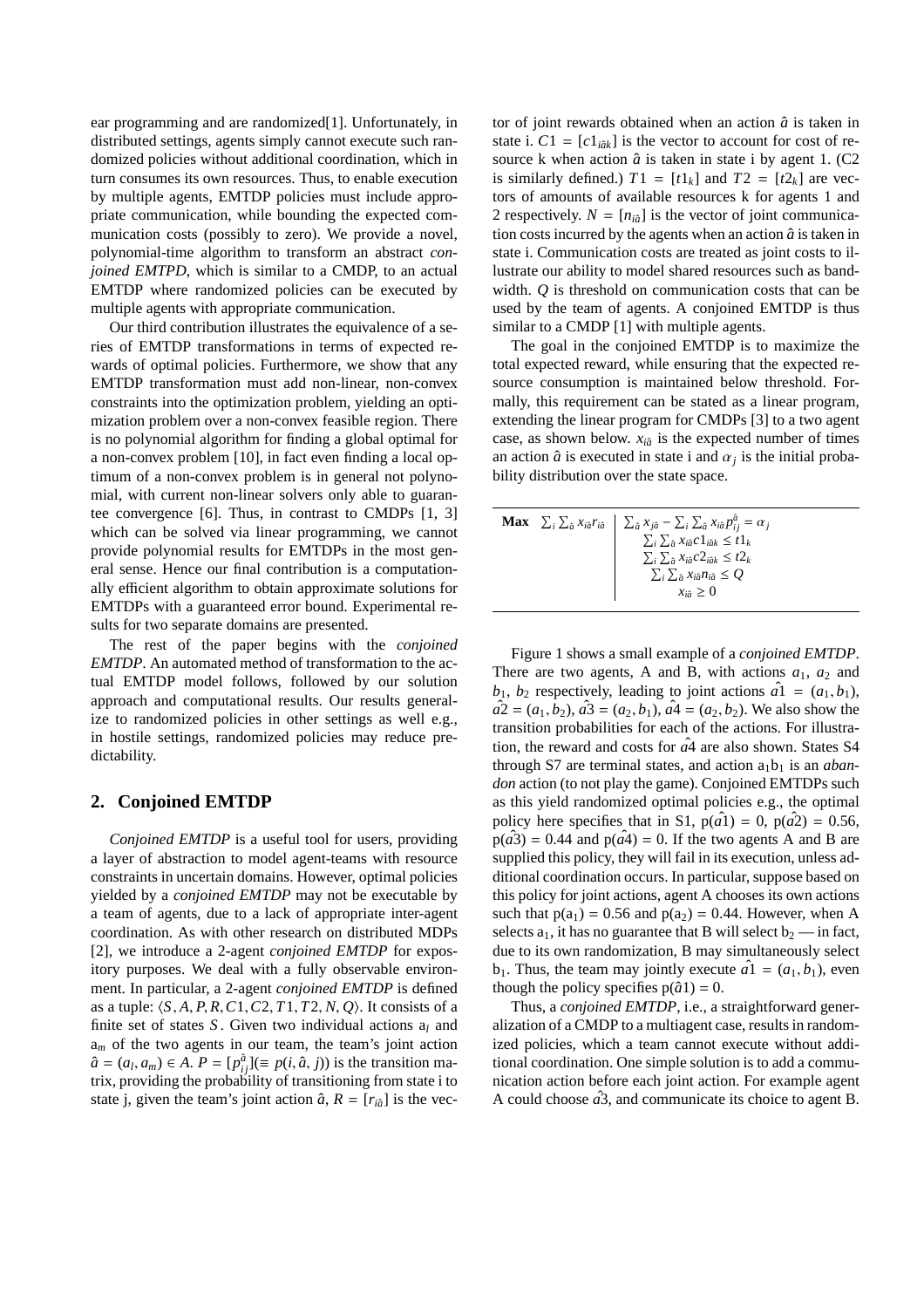ear programming and are randomized[1]. Unfortunately, in distributed settings, agents simply cannot execute such randomized policies without additional coordination, which in turn consumes its own resources. Thus, to enable execution by multiple agents, EMTDP policies must include appropriate communication, while bounding the expected communication costs (possibly to zero). We provide a novel, polynomial-time algorithm to transform an abstract *conjoined EMTPD*, which is similar to a CMDP, to an actual EMTDP where randomized policies can be executed by multiple agents with appropriate communication.

Our third contribution illustrates the equivalence of a series of EMTDP transformations in terms of expected rewards of optimal policies. Furthermore, we show that any EMTDP transformation must add non-linear, non-convex constraints into the optimization problem, yielding an optimization problem over a non-convex feasible region. There is no polynomial algorithm for finding a global optimal for a non-convex problem [10], in fact even finding a local optimum of a non-convex problem is in general not polynomial, with current non-linear solvers only able to guarantee convergence [6]. Thus, in contrast to CMDPs [1, 3] which can be solved via linear programming, we cannot provide polynomial results for EMTDPs in the most general sense. Hence our final contribution is a computationally efficient algorithm to obtain approximate solutions for EMTDPs with a guaranteed error bound. Experimental results for two separate domains are presented.

The rest of the paper begins with the *conjoined EMTDP*. An automated method of transformation to the actual EMTDP model follows, followed by our solution approach and computational results. Our results generalize to randomized policies in other settings as well e.g., in hostile settings, randomized policies may reduce predictability.

# **2. Conjoined EMTDP**

*Conjoined EMTDP* is a useful tool for users, providing a layer of abstraction to model agent-teams with resource constraints in uncertain domains. However, optimal policies yielded by a *conjoined EMTDP* may not be executable by a team of agents, due to a lack of appropriate inter-agent coordination. As with other research on distributed MDPs [2], we introduce a 2-agent *conjoined EMTDP* for expository purposes. We deal with a fully observable environment. In particular, a 2-agent *conjoined EMTDP* is defined as a tuple:  $\langle S, A, P, R, C1, C2, T1, T2, N, Q \rangle$ . It consists of a finite set of states *S* . Given two individual actions a*<sup>l</sup>* and a*<sup>m</sup>* of the two agents in our team, the team's joint action  $\hat{a} = (a_l, a_m) \in A$ .  $P = [p_{ij}^{\hat{a}}] (\equiv p(i, \hat{a}, j))$  is the transition matrix, providing the probability of transitioning from state i to state j, given the team's joint action  $\hat{a}$ ,  $R = [r_{i\hat{a}}]$  is the vector of joint rewards obtained when an action  $\hat{a}$  is taken in state i.  $C1 = [c1<sub>i\hat{a}k</sub>]$  is the vector to account for cost of resource k when action  $\hat{a}$  is taken in state i by agent 1. (C2) is similarly defined.)  $T1 = [t1_k]$  and  $T2 = [t2_k]$  are vectors of amounts of available resources k for agents 1 and 2 respectively.  $N = [n_{i\partial}]$  is the vector of joint communication costs incurred by the agents when an action  $\hat{a}$  is taken in state i. Communication costs are treated as joint costs to illustrate our ability to model shared resources such as bandwidth. *Q* is threshold on communication costs that can be used by the team of agents. A conjoined EMTDP is thus similar to a CMDP [1] with multiple agents.

The goal in the conjoined EMTDP is to maximize the total expected reward, while ensuring that the expected resource consumption is maintained below threshold. Formally, this requirement can be stated as a linear program, extending the linear program for CMDPs [3] to a two agent case, as shown below.  $x_{i\hat{a}}$  is the expected number of times an action  $\hat{a}$  is executed in state i and  $\alpha_j$  is the initial probability distribution over the state space.

|  | <b>Max</b> $\sum_i \sum_{\hat{a}} x_{i\hat{a}} r_{i\hat{a}}$ $\sum_{\hat{a}} x_{j\hat{a}} - \sum_i \sum_{\hat{a}} x_{i\hat{a}} p_{ij}^{\hat{a}} = \alpha_j$ |
|--|-------------------------------------------------------------------------------------------------------------------------------------------------------------|
|  | $\sum_i \sum_{\hat{a}} x_{i\hat{a}} c 1_{i\hat{a}k} \leq t1_k$                                                                                              |
|  | $\sum_i \sum_{\hat{a}} x_{i\hat{a}} c_2 \hat{z}_{i\hat{a}k} \leq t_2$                                                                                       |
|  | $\sum_i \sum_{\hat{a}} x_{i\hat{a}} n_{i\hat{a}} \leq Q$                                                                                                    |
|  | $x_{i\hat{a}} \geq 0$                                                                                                                                       |
|  |                                                                                                                                                             |

Figure 1 shows a small example of a *conjoined EMTDP*. There are two agents, A and B, with actions  $a_1$ ,  $a_2$  and  $b_1$ ,  $b_2$  respectively, leading to joint actions  $a_1 = (a_1, b_1)$ ,  $a2 = (a_1, b_2), a3 = (a_2, b_1), a4 = (a_2, b_2).$  We also show the transition probabilities for each of the actions. For illustration, the reward and costs for  $\hat{a}4$  are also shown. States S4 through S7 are terminal states, and action  $a_1b_1$  is an *abandon* action (to not play the game). Conjoined EMTDPs such as this yield randomized optimal policies e.g., the optimal policy here specifies that in S1,  $p(a<sup>T</sup>) = 0$ ,  $p(a<sup>T</sup>) = 0.56$ ,  $p(a3) = 0.44$  and  $p(a4) = 0$ . If the two agents A and B are supplied this policy, they will fail in its execution, unless additional coordination occurs. In particular, suppose based on this policy for joint actions, agent A chooses its own actions such that  $p(a_1) = 0.56$  and  $p(a_2) = 0.44$ . However, when A selects  $a_1$ , it has no guarantee that B will select  $b_2$  — in fact, due to its own randomization, B may simultaneously select  $b_1$ . Thus, the team may jointly execute  $a_1 = (a_1, b_1)$ , even though the policy specifies  $p(\hat{a}1) = 0$ .

Thus, a *conjoined EMTDP*, i.e., a straightforward generalization of a CMDP to a multiagent case, results in randomized policies, which a team cannot execute without additional coordination. One simple solution is to add a communication action before each joint action. For example agent A could choose  $\hat{a}^3$ , and communicate its choice to agent B.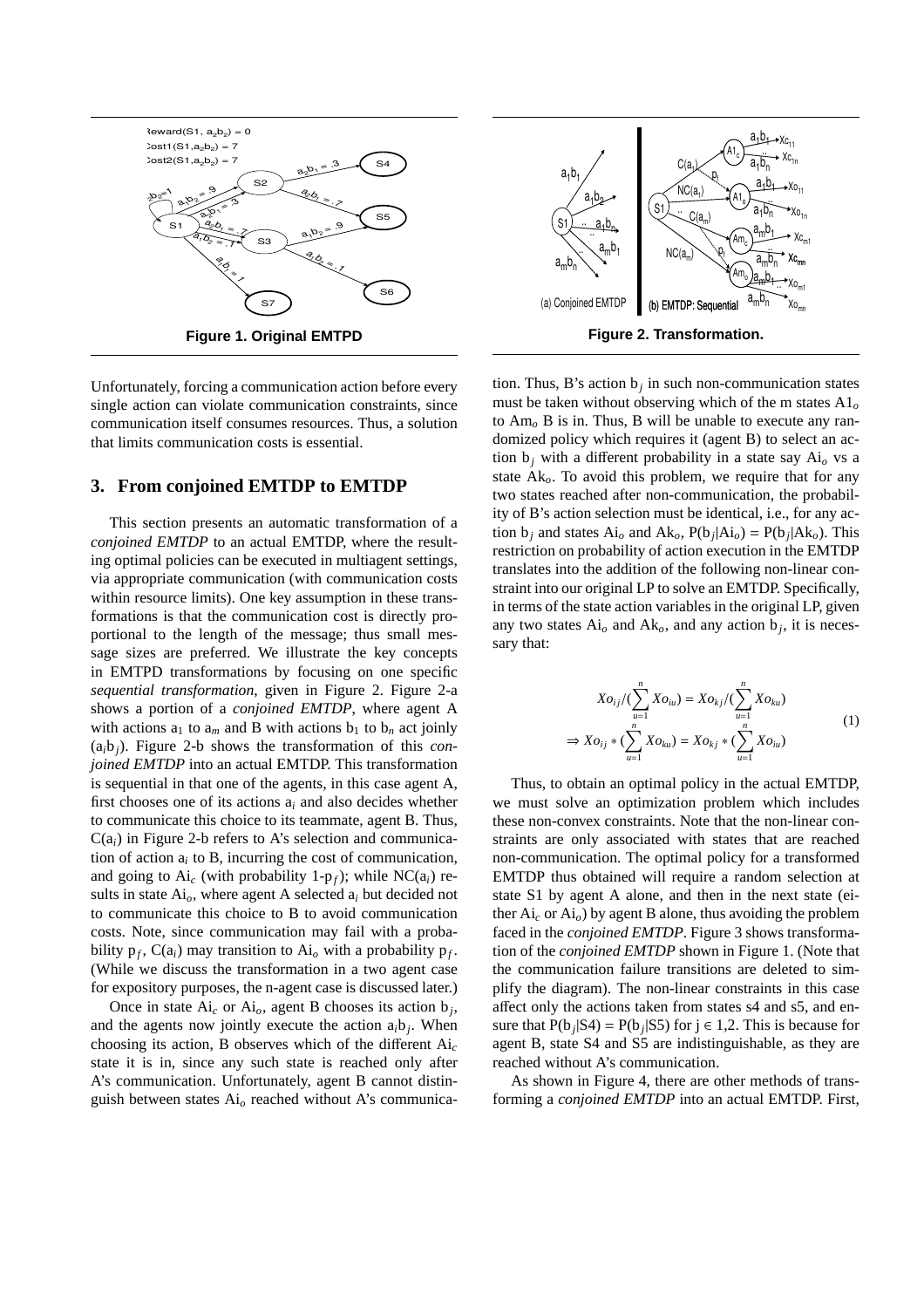

Unfortunately, forcing a communication action before every single action can violate communication constraints, since communication itself consumes resources. Thus, a solution that limits communication costs is essential.

### **3. From conjoined EMTDP to EMTDP**

This section presents an automatic transformation of a *conjoined EMTDP* to an actual EMTDP, where the resulting optimal policies can be executed in multiagent settings, via appropriate communication (with communication costs within resource limits). One key assumption in these transformations is that the communication cost is directly proportional to the length of the message; thus small message sizes are preferred. We illustrate the key concepts in EMTPD transformations by focusing on one specific *sequential transformation*, given in Figure 2. Figure 2-a shows a portion of a *conjoined EMTDP*, where agent A with actions  $a_1$  to  $a_m$  and B with actions  $b_1$  to  $b_n$  act joinly (a*i*b*j*). Figure 2-b shows the transformation of this *conjoined EMTDP* into an actual EMTDP. This transformation is sequential in that one of the agents, in this case agent A, first chooses one of its actions a*<sup>i</sup>* and also decides whether to communicate this choice to its teammate, agent B. Thus,  $C(a_i)$  in Figure 2-b refers to A's selection and communication of action  $a_i$  to  $B$ , incurring the cost of communication, and going to  $Ai_c$  (with probability 1-p<sub>f</sub>); while  $NC(a_i)$  results in state Ai*o*, where agent A selected a*<sup>i</sup>* but decided not to communicate this choice to B to avoid communication costs. Note, since communication may fail with a probability  $p_f$ ,  $C(a_i)$  may transition to  $Ai_o$  with a probability  $p_f$ . (While we discuss the transformation in a two agent case for expository purposes, the n-agent case is discussed later.)

Once in state  $Ai_c$  or  $Ai_o$ , agent B chooses its action  $b_j$ , and the agents now jointly execute the action  $a_i b_j$ . When choosing its action, B observes which of the different Ai*<sup>c</sup>* state it is in, since any such state is reached only after A's communication. Unfortunately, agent B cannot distinguish between states Ai*<sup>o</sup>* reached without A's communica-

tion. Thus, B's action  $b_j$  in such non-communication states must be taken without observing which of the m states A1*<sup>o</sup>* to Am*<sup>o</sup>* B is in. Thus, B will be unable to execute any randomized policy which requires it (agent B) to select an action  $b_j$  with a different probability in a state say  $Ai_o$  vs a state Ak*o*. To avoid this problem, we require that for any two states reached after non-communication, the probability of B's action selection must be identical, i.e., for any action  $b_j$  and states  $Ai_o$  and  $Ak_o$ ,  $P(b_j|Ai_o) = P(b_j|Ak_o)$ . This restriction on probability of action execution in the EMTDP translates into the addition of the following non-linear constraint into our original LP to solve an EMTDP. Specifically, in terms of the state action variables in the original LP, given any two states  $Ai<sub>o</sub>$  and  $Ak<sub>o</sub>$ , and any action  $b<sub>j</sub>$ , it is necessary that:

$$
Xo_{ij}/(\sum_{u=1}^{n} Xo_{iu}) = Xo_{kj}/(\sum_{u=1}^{n} Xo_{ku})
$$
  
\n
$$
\Rightarrow Xo_{ij} * (\sum_{u=1}^{n} Xo_{ku}) = Xo_{kj} * (\sum_{u=1}^{n} Xo_{iu})
$$
 (1)

Thus, to obtain an optimal policy in the actual EMTDP, we must solve an optimization problem which includes these non-convex constraints. Note that the non-linear constraints are only associated with states that are reached non-communication. The optimal policy for a transformed EMTDP thus obtained will require a random selection at state S1 by agent A alone, and then in the next state (either Ai*<sup>c</sup>* or Ai*o*) by agent B alone, thus avoiding the problem faced in the *conjoined EMTDP*. Figure 3 shows transformation of the *conjoined EMTDP* shown in Figure 1. (Note that the communication failure transitions are deleted to simplify the diagram). The non-linear constraints in this case affect only the actions taken from states s4 and s5, and ensure that  $P(b_j|S4) = P(b_j|S5)$  for  $j \in 1,2$ . This is because for agent B, state S4 and S5 are indistinguishable, as they are reached without A's communication.

As shown in Figure 4, there are other methods of transforming a *conjoined EMTDP* into an actual EMTDP. First,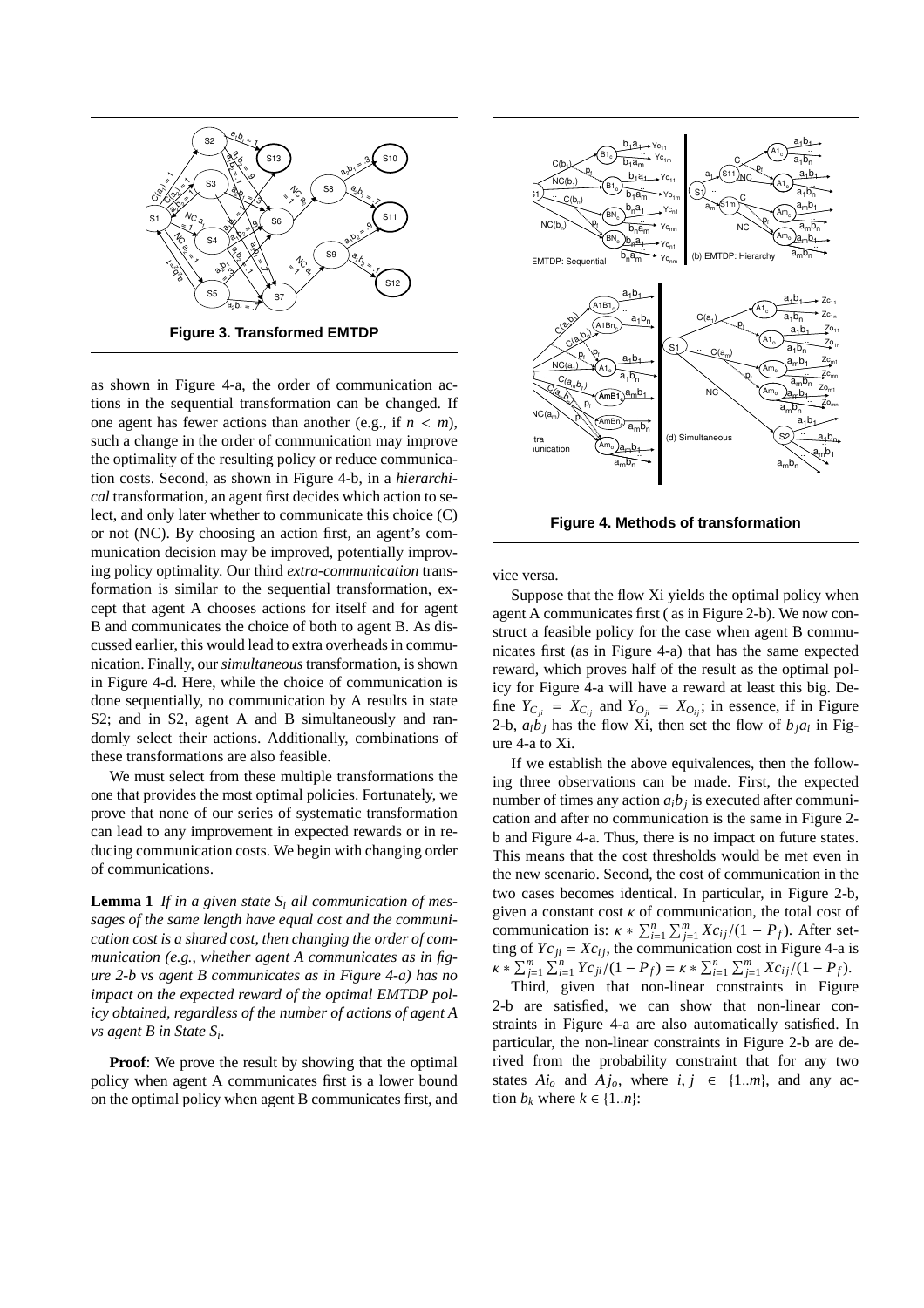

as shown in Figure 4-a, the order of communication actions in the sequential transformation can be changed. If one agent has fewer actions than another (e.g., if  $n < m$ ), such a change in the order of communication may improve the optimality of the resulting policy or reduce communication costs. Second, as shown in Figure 4-b, in a *hierarchical* transformation, an agent first decides which action to select, and only later whether to communicate this choice (C) or not (NC). By choosing an action first, an agent's communication decision may be improved, potentially improving policy optimality. Our third *extra-communication* transformation is similar to the sequential transformation, except that agent A chooses actions for itself and for agent B and communicates the choice of both to agent B. As discussed earlier, this would lead to extra overheads in communication. Finally, our *simultaneous* transformation, is shown in Figure 4-d. Here, while the choice of communication is done sequentially, no communication by A results in state S2; and in S2, agent A and B simultaneously and randomly select their actions. Additionally, combinations of these transformations are also feasible.

We must select from these multiple transformations the one that provides the most optimal policies. Fortunately, we prove that none of our series of systematic transformation can lead to any improvement in expected rewards or in reducing communication costs. We begin with changing order of communications.

**Lemma 1** *If in a given state S<sup>i</sup> all communication of messages of the same length have equal cost and the communication cost is a shared cost, then changing the order of communication (e.g., whether agent A communicates as in figure 2-b vs agent B communicates as in Figure 4-a) has no impact on the expected reward of the optimal EMTDP policy obtained, regardless of the number of actions of agent A vs agent B in State S<sup>i</sup> .*

**Proof:** We prove the result by showing that the optimal policy when agent A communicates first is a lower bound on the optimal policy when agent B communicates first, and



**Figure 4. Methods of transformation**

vice versa.

Suppose that the flow Xi yields the optimal policy when agent A communicates first ( as in Figure 2-b). We now construct a feasible policy for the case when agent B communicates first (as in Figure 4-a) that has the same expected reward, which proves half of the result as the optimal policy for Figure 4-a will have a reward at least this big. Define  $Y_{C_{ii}} = X_{C_{ii}}$  and  $Y_{O_{ii}} = X_{O_{ii}}$ ; in essence, if in Figure 2-b,  $a_i b_j$  has the flow Xi, then set the flow of  $b_j a_i$  in Figure 4-a to Xi.

If we establish the above equivalences, then the following three observations can be made. First, the expected number of times any action  $a_i b_j$  is executed after communication and after no communication is the same in Figure 2 b and Figure 4-a. Thus, there is no impact on future states. This means that the cost thresholds would be met even in the new scenario. Second, the cost of communication in the two cases becomes identical. In particular, in Figure 2-b, given a constant cost  $\kappa$  of communication, the total cost of  $\sum_{i=1}^{n} \sum_{j=1}^{m} Xc_{ij}/(1 - P_f)$ . After setting of  $Yc_{ji} = Xc_{ij}$ , the communication cost in Figure 4-a is  $\lim_{x \to \infty} \frac{P_n}{P_{j=1}} \sum_{i=1}^{n} Y_{i} (1 - P_f) = \lim_{x \to \infty} \sum_{i=1}^{n} \sum_{j=1}^{m} X_{i} (1 - P_f).$ 

Third, given that non-linear constraints in Figure 2-b are satisfied, we can show that non-linear constraints in Figure 4-a are also automatically satisfied. In particular, the non-linear constraints in Figure 2-b are derived from the probability constraint that for any two states  $Ai<sub>o</sub>$  and  $Aj<sub>o</sub>$ , where  $i, j \in \{1..m\}$ , and any action  $b_k$  where  $k \in \{1..n\}$ :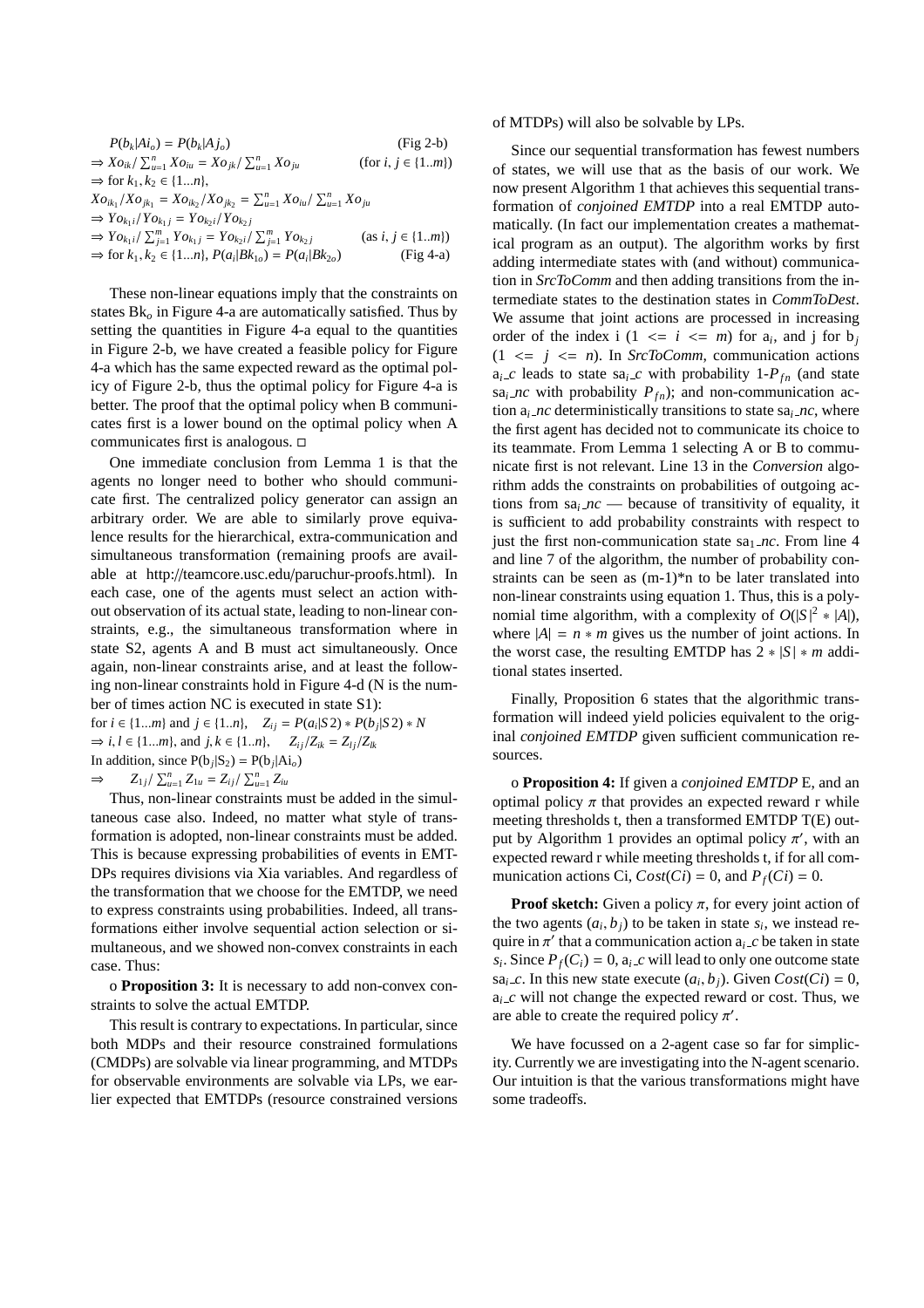$P(b_k|Ai_o) = P(b_k)$ |*A jo*) (Fig 2-b)  $\Rightarrow Xo_{ik}/\sum_{u=1}^{n} Xo_{iu} = Xo_{jk}/\sum_{u=1}^{n}$  $(for i, j \in \{1..m\})$  $\Rightarrow$  for  $k_1, k_2 \in \{1...n\}$ ,  $Xo_{ik_1}/Xo_{jk_1} = Xo_{ik_2}/Xo_{jk_2} = \sum_{u=1}^n Xo_{iu}/\sum_{u=1}^n Xo_{ju}$  $\Rightarrow$   $\gamma_{O_{k_1}} / \gamma_{O_{k_1}} = \gamma_{O_{k_2}} / \gamma_{O_{k_2}}$  $\Rightarrow Y \circ k_1 i / I \circ k_1 j - I \circ k_2 i / I \circ k_2 j$ <br>  $\Rightarrow Y \circ k_1 i / \sum_{j=1}^m Y \circ k_1 j = Y \circ k_2 i / \sum_{j=1}^m j$  $(as i, j \in \{1..m\})$ ⇒ for  $k_1, k_2 \in \{1...n\}, P(a_i|Bk_{1o}) = P(a_i)$ |*Bk*<sup>2</sup>*o*) (Fig 4-a)

These non-linear equations imply that the constraints on states Bk*<sup>o</sup>* in Figure 4-a are automatically satisfied. Thus by setting the quantities in Figure 4-a equal to the quantities in Figure 2-b, we have created a feasible policy for Figure 4-a which has the same expected reward as the optimal policy of Figure 2-b, thus the optimal policy for Figure 4-a is better. The proof that the optimal policy when B communicates first is a lower bound on the optimal policy when A communicates first is analogous.

One immediate conclusion from Lemma 1 is that the agents no longer need to bother who should communicate first. The centralized policy generator can assign an arbitrary order. We are able to similarly prove equivalence results for the hierarchical, extra-communication and simultaneous transformation (remaining proofs are available at http://teamcore.usc.edu/paruchur-proofs.html). In each case, one of the agents must select an action without observation of its actual state, leading to non-linear constraints, e.g., the simultaneous transformation where in state S2, agents A and B must act simultaneously. Once again, non-linear constraints arise, and at least the following non-linear constraints hold in Figure 4-d (N is the number of times action NC is executed in state S1):

for  $i \in \{1...m\}$  and  $j \in \{1..n\}$ ,  $Z_{ij} = P(a_i|S2) * P(b_j|S2) * N$  $\Rightarrow i, l \in \{1...m\}$ , and  $j, k \in \{1..n\}$ ,  $Z_{ij}/Z_{ik} = Z_{lj}/Z_{lk}$ In addition, since  $P(b_j|S_2) = P(b_j|Ai_o)$  $\Rightarrow$  *Z*<sub>1</sub>*j*/  $\sum_{u=1}^{n} Z_{1u} = Z_{ij} / \sum_{u=1}^{n} Z_{iu}$ 

Thus, non-linear constraints must be added in the simultaneous case also. Indeed, no matter what style of transformation is adopted, non-linear constraints must be added. This is because expressing probabilities of events in EMT-DPs requires divisions via Xia variables. And regardless of the transformation that we choose for the EMTDP, we need to express constraints using probabilities. Indeed, all transformations either involve sequential action selection or simultaneous, and we showed non-convex constraints in each case. Thus:

o **Proposition 3:** It is necessary to add non-convex constraints to solve the actual EMTDP.

This result is contrary to expectations. In particular, since both MDPs and their resource constrained formulations (CMDPs) are solvable via linear programming, and MTDPs for observable environments are solvable via LPs, we earlier expected that EMTDPs (resource constrained versions

#### of MTDPs) will also be solvable by LPs.

Since our sequential transformation has fewest numbers of states, we will use that as the basis of our work. We now present Algorithm 1 that achieves this sequential transformation of *conjoined EMTDP* into a real EMTDP automatically. (In fact our implementation creates a mathematical program as an output). The algorithm works by first adding intermediate states with (and without) communication in *SrcToComm* and then adding transitions from the intermediate states to the destination states in *CommToDest*. We assume that joint actions are processed in increasing order of the index i  $(1 \le i \le m)$  for  $a_i$ , and j for  $b_j$  $(1 \leq j \leq n)$ . In *SrcToComm*, communication actions  $a_i$ <sub>*c*</sub> leads to state sa<sub>*i*</sub><sub>*c*</sub> with probability 1- $P_{fn}$  (and state sa<sub>*i*</sub> *nc* with probability  $P_{fn}$ ; and non-communication action  $a_i$  *nc* deterministically transitions to state s $a_i$  *nc*, where the first agent has decided not to communicate its choice to its teammate. From Lemma 1 selecting A or B to communicate first is not relevant. Line 13 in the *Conversion* algorithm adds the constraints on probabilities of outgoing actions from  $sa<sub>i</sub>$  *nc* — because of transitivity of equality, it is sufficient to add probability constraints with respect to just the first non-communication state  $sa<sub>1</sub>nc$ . From line 4 and line 7 of the algorithm, the number of probability constraints can be seen as (m-1)\*n to be later translated into non-linear constraints using equation 1. Thus, this is a polynomial time algorithm, with a complexity of  $O(|S|^2 * |A|)$ , where  $|A| = n * m$  gives us the number of joint actions. In the worst case, the resulting EMTDP has  $2 * |S| * m$  additional states inserted.

Finally, Proposition 6 states that the algorithmic transformation will indeed yield policies equivalent to the original *conjoined EMTDP* given sufficient communication resources.

o **Proposition 4:** If given a *conjoined EMTDP* E, and an optimal policy  $\pi$  that provides an expected reward r while meeting thresholds t, then a transformed EMTDP T(E) output by Algorithm 1 provides an optimal policy  $\pi'$ , with an expected reward r while meeting thresholds t, if for all communication actions Ci,  $Cost(Ci) = 0$ , and  $P_f(Ci) = 0$ .

**Proof sketch:** Given a policy  $\pi$ , for every joint action of the two agents  $(a_i, b_j)$  to be taken in state  $s_i$ , we instead require in  $\pi'$  that a communication action  $a_i \nc$  be taken in state  $s_i$ . Since  $P_f(C_i) = 0$ ,  $a_i \text{ } c$  will lead to only one outcome state sa<sub>*i*-*c*</sub>. In this new state execute  $(a_i, b_j)$ . Given  $Cost(Ci) = 0$ ,  $a_i$ <sub>*c*</sub> will not change the expected reward or cost. Thus, we are able to create the required policy  $\pi'$ .

We have focussed on a 2-agent case so far for simplicity. Currently we are investigating into the N-agent scenario. Our intuition is that the various transformations might have some tradeoffs.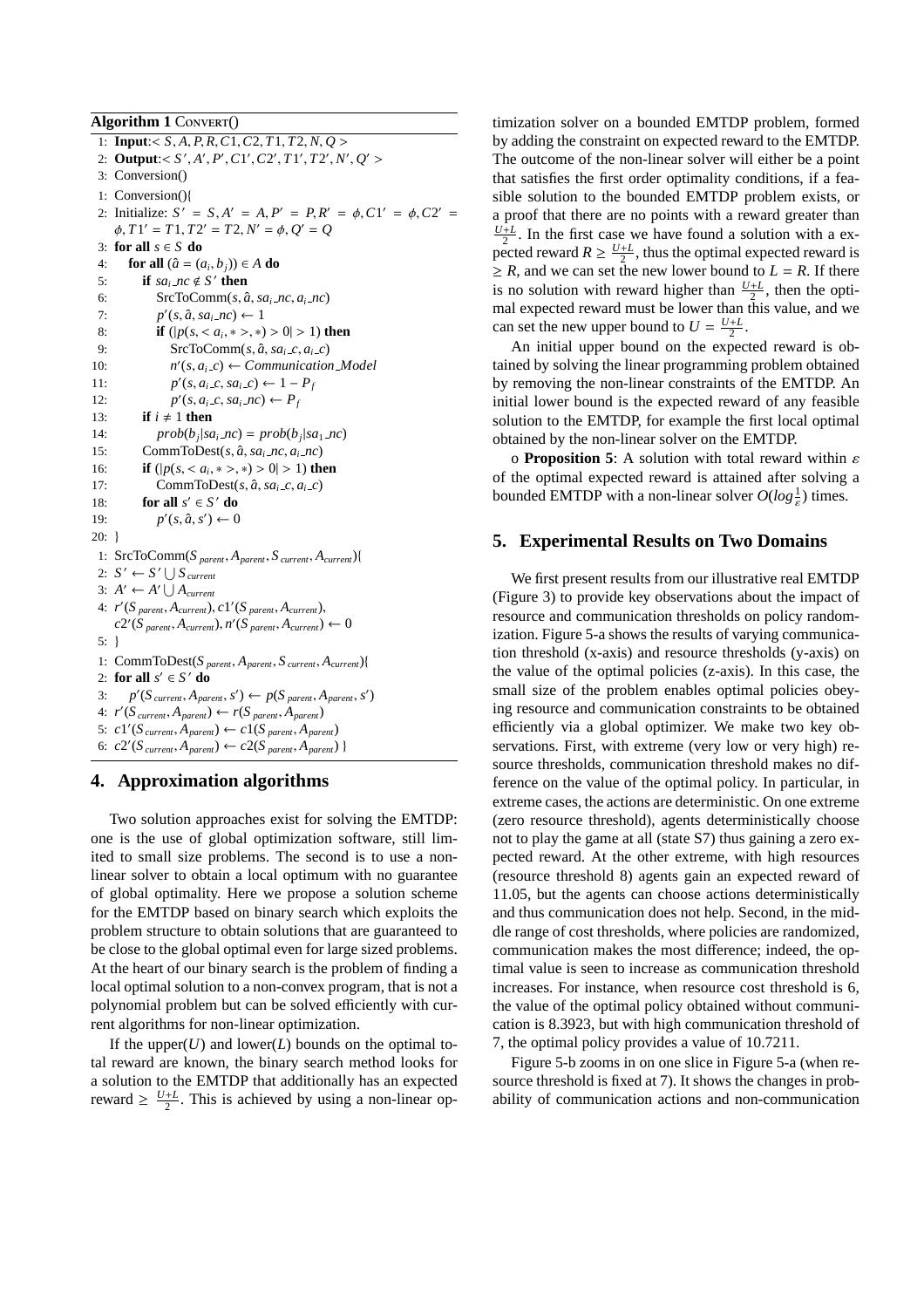**Algorithm 1 CONVERT()** 1: **Input**:< *S*, *A*, *P*, *R*,*C*1,*C*2, *T*1, *T*2, *N*, *Q* > 2: **Output:**  $\langle S', A', P', C \rangle, C \rangle, T \rangle, T \rangle, T \rangle, N', Q' >$ 3: Conversion() 1: Conversion(){ 2: Initialize:  $S' = S$ ,  $A' = A$ ,  $P' = P$ ,  $R' = \phi$ ,  $C1' = \phi$ ,  $C2' = \phi$  $\phi$ ,  $T1' = T1$ ,  $T2' = T2$ ,  $N' = \phi$ ,  $Q' = Q$ 3: **for all** *s* ∈ *S* **do** 4: **for all**  $(\hat{a} = (a_i, b_j)) \in A$  **do** 5: **if**  $sa_i$  *nc*  $\notin S'$  **then** 6: SrcToComm( $s$ ,  $\hat{a}$ ,  $sa$ <sub>*i*</sub>  $nc$ ,  $a$ <sub>*i*</sub>  $nc$ ) 7:  $p'(s, \hat{a}, sa_i \text{ .} \text{ n}c) \leftarrow 1$ 8: **if**  $(|p(s, < a_i, *>, *) > 0| > 1)$  then 9:  $\text{SrCToComm}(s, \hat{a}, sa_i \text{ } c, a_i \text{ } c)$ 10: *n*  $\mathcal{O}(s, a_i \_c) \leftarrow \text{Communication}\_ \text{Model}$ 11: *p*  $C(s, a_i \_c, sa_i \_c) \leftarrow 1 - P_f$ 12: *p*  $C(s, a_i \_c, sa_i \_nc) \leftarrow P_f$ 13: **if**  $i \neq 1$  **then** 14:  $prob(b_j|sa_i nc) = prob(b_j|sa_1 nc)$ 15: CommToDest(s,  $\hat{a}$ ,  $sa_i$ <sub>*nc*</sub>,  $a_i$ <sub>*nc*</sub>) 16: **if**  $(|p(s, < a_i, *>, *) > 0| > 1)$  then 17: CommToDest(s,  $\hat{a}$ , sa<sub>*i*-c</sub>, a<sub>*i*-c</sub>) 18: **for all**  $s' \in S'$  **do** 19: *p*  $\prime$ (s,  $\hat{a}$ , s')  $\leftarrow$  0 20: } 1: SrcToComm(*S parent*, *Aparent*, *S current*, *Acurrent*){ 2:  $S' \leftarrow S' \cup S_{\text{current}}$ <br>2:  $S' \leftarrow S' \cup S_{\text{current}}$ 3:  $A' \leftarrow A' \bigcup A_{\text{current}}$ 4:  $r'(S_{parent}, A_{current})$ ,  $c1'(S_{parent}, A_{current})$ ,  $c2'(S_{parent}, A_{current}), n'(S_{parent}, A_{current}) \leftarrow 0$ 5: } 1: CommToDest(*S parent*, *Aparent*, *S current*, *Acurrent*){ 2: **for all**  $s' \in S'$  **do** 3:  $p'(S_{\text{current}}, A_{\text{parent}}, s') \leftarrow p(S_{\text{parent}}, A_{\text{parent}}, s')$ 4: *r* 0 (*S current*, *Aparent*) ← *r*(*S parent*, *Aparent*) 5:  $c1'(S_{current}, A_{parent}) \leftarrow c1(S_{parent}, A_{parent})$ 6:  $c2'(S_{\text{current}}, A_{\text{parent}}) \leftarrow c2(S_{\text{parent}}, A_{\text{parent}})$ 

# **4. Approximation algorithms**

Two solution approaches exist for solving the EMTDP: one is the use of global optimization software, still limited to small size problems. The second is to use a nonlinear solver to obtain a local optimum with no guarantee of global optimality. Here we propose a solution scheme for the EMTDP based on binary search which exploits the problem structure to obtain solutions that are guaranteed to be close to the global optimal even for large sized problems. At the heart of our binary search is the problem of finding a local optimal solution to a non-convex program, that is not a polynomial problem but can be solved efficiently with current algorithms for non-linear optimization.

If the upper $(U)$  and lower $(L)$  bounds on the optimal total reward are known, the binary search method looks for a solution to the EMTDP that additionally has an expected reward  $\geq \frac{U+L}{2}$ . This is achieved by using a non-linear optimization solver on a bounded EMTDP problem, formed by adding the constraint on expected reward to the EMTDP. The outcome of the non-linear solver will either be a point that satisfies the first order optimality conditions, if a feasible solution to the bounded EMTDP problem exists, or a proof that there are no points with a reward greater than  $\frac{U+L}{2}$ . In the first case we have found a solution with a ex-<sup>2</sup> : in the first case we have found a solution with a cx<br>pected reward  $R \ge \frac{U+L}{2}$ , thus the optimal expected reward is  $\geq R$ , and we can set the new lower bound to  $L = R$ . If there is no solution with reward higher than  $\frac{U+L}{2}$ , then the optimal expected reward must be lower than this value, and we can set the new upper bound to  $U = \frac{U+L}{2}$ .

An initial upper bound on the expected reward is obtained by solving the linear programming problem obtained by removing the non-linear constraints of the EMTDP. An initial lower bound is the expected reward of any feasible solution to the EMTDP, for example the first local optimal obtained by the non-linear solver on the EMTDP.

o **Proposition 5**: A solution with total reward within ε of the optimal expected reward is attained after solving a bounded EMTDP with a non-linear solver  $O(log \frac{1}{\varepsilon})$  times.

### **5. Experimental Results on Two Domains**

We first present results from our illustrative real EMTDP (Figure 3) to provide key observations about the impact of resource and communication thresholds on policy randomization. Figure 5-a shows the results of varying communication threshold (x-axis) and resource thresholds (y-axis) on the value of the optimal policies (z-axis). In this case, the small size of the problem enables optimal policies obeying resource and communication constraints to be obtained efficiently via a global optimizer. We make two key observations. First, with extreme (very low or very high) resource thresholds, communication threshold makes no difference on the value of the optimal policy. In particular, in extreme cases, the actions are deterministic. On one extreme (zero resource threshold), agents deterministically choose not to play the game at all (state S7) thus gaining a zero expected reward. At the other extreme, with high resources (resource threshold 8) agents gain an expected reward of 11.05, but the agents can choose actions deterministically and thus communication does not help. Second, in the middle range of cost thresholds, where policies are randomized, communication makes the most difference; indeed, the optimal value is seen to increase as communication threshold increases. For instance, when resource cost threshold is 6, the value of the optimal policy obtained without communication is 8.3923, but with high communication threshold of 7, the optimal policy provides a value of 10.7211.

Figure 5-b zooms in on one slice in Figure 5-a (when resource threshold is fixed at 7). It shows the changes in probability of communication actions and non-communication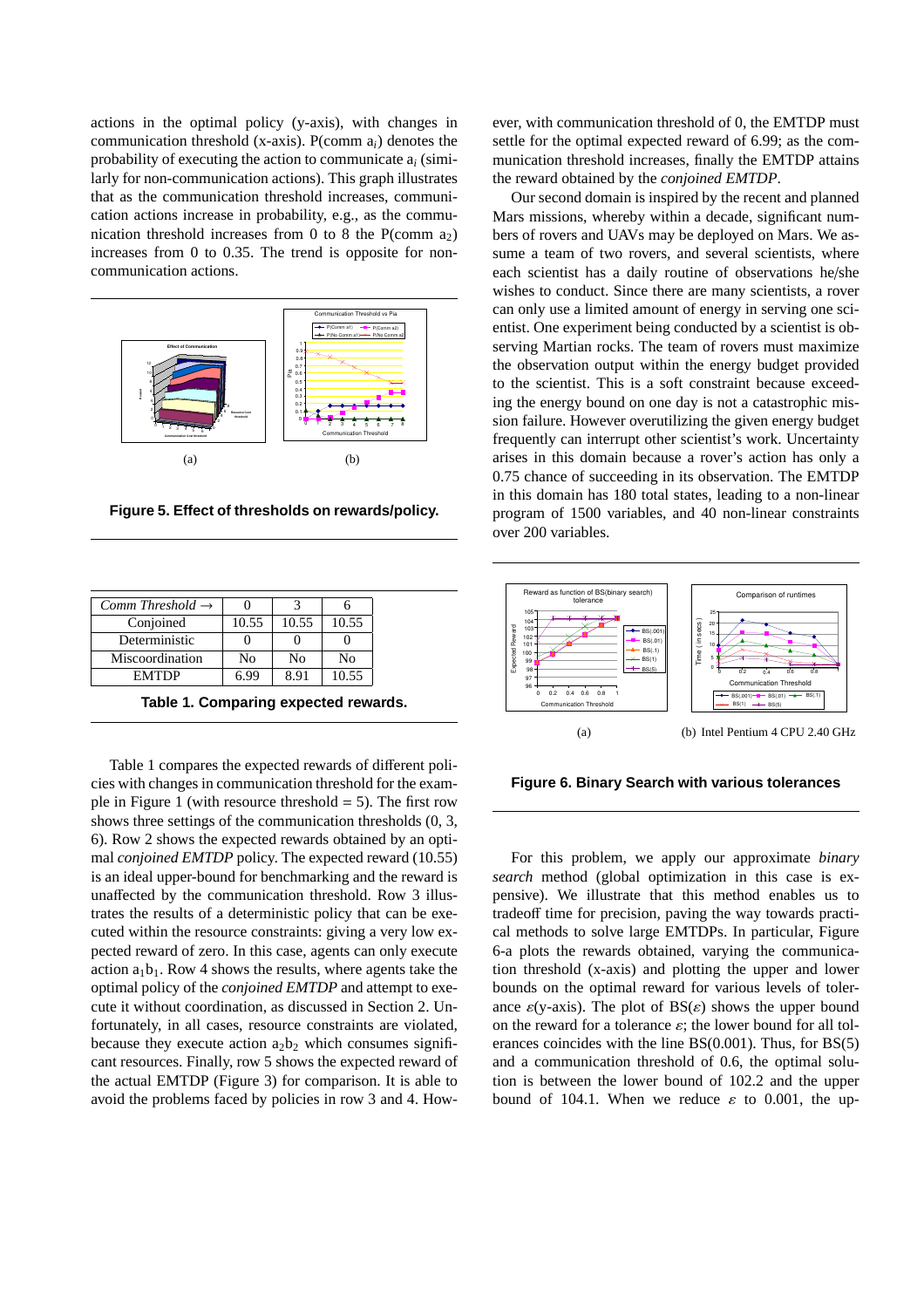actions in the optimal policy (y-axis), with changes in communication threshold (x-axis). P(comm a*i*) denotes the probability of executing the action to communicate a*<sup>i</sup>* (similarly for non-communication actions). This graph illustrates that as the communication threshold increases, communication actions increase in probability, e.g., as the communication threshold increases from 0 to 8 the P(comm  $a_2$ ) increases from 0 to 0.35. The trend is opposite for noncommunication actions.



**Figure 5. Effect of thresholds on rewards/policy.**

| Comm Threshold $\rightarrow$ |       |       |       |
|------------------------------|-------|-------|-------|
| Conjoined                    | 10.55 | 10.55 | 10.55 |
| Deterministic                |       |       |       |
| Miscoordination              | No    | No    | No    |
| <b>EMTDP</b>                 |       |       | 10.55 |

**Table 1. Comparing expected rewards.**

Table 1 compares the expected rewards of different policies with changes in communication threshold for the example in Figure 1 (with resource threshold  $= 5$ ). The first row shows three settings of the communication thresholds (0, 3, 6). Row 2 shows the expected rewards obtained by an optimal *conjoined EMTDP* policy. The expected reward (10.55) is an ideal upper-bound for benchmarking and the reward is unaffected by the communication threshold. Row 3 illustrates the results of a deterministic policy that can be executed within the resource constraints: giving a very low expected reward of zero. In this case, agents can only execute action  $a_1b_1$ . Row 4 shows the results, where agents take the optimal policy of the *conjoined EMTDP* and attempt to execute it without coordination, as discussed in Section 2. Unfortunately, in all cases, resource constraints are violated, because they execute action  $a_2b_2$  which consumes significant resources. Finally, row 5 shows the expected reward of the actual EMTDP (Figure 3) for comparison. It is able to avoid the problems faced by policies in row 3 and 4. However, with communication threshold of 0, the EMTDP must settle for the optimal expected reward of 6.99; as the communication threshold increases, finally the EMTDP attains the reward obtained by the *conjoined EMTDP*.

Our second domain is inspired by the recent and planned Mars missions, whereby within a decade, significant numbers of rovers and UAVs may be deployed on Mars. We assume a team of two rovers, and several scientists, where each scientist has a daily routine of observations he/she wishes to conduct. Since there are many scientists, a rover can only use a limited amount of energy in serving one scientist. One experiment being conducted by a scientist is observing Martian rocks. The team of rovers must maximize the observation output within the energy budget provided to the scientist. This is a soft constraint because exceeding the energy bound on one day is not a catastrophic mission failure. However overutilizing the given energy budget frequently can interrupt other scientist's work. Uncertainty arises in this domain because a rover's action has only a 0.75 chance of succeeding in its observation. The EMTDP in this domain has 180 total states, leading to a non-linear program of 1500 variables, and 40 non-linear constraints over 200 variables.



**Figure 6. Binary Search with various tolerances**

For this problem, we apply our approximate *binary search* method (global optimization in this case is expensive). We illustrate that this method enables us to tradeoff time for precision, paving the way towards practical methods to solve large EMTDPs. In particular, Figure 6-a plots the rewards obtained, varying the communication threshold (x-axis) and plotting the upper and lower bounds on the optimal reward for various levels of tolerance  $\varepsilon$ (y-axis). The plot of  $BS(\varepsilon)$  shows the upper bound on the reward for a tolerance  $\varepsilon$ ; the lower bound for all tolerances coincides with the line BS(0.001). Thus, for BS(5) and a communication threshold of 0.6, the optimal solution is between the lower bound of 102.2 and the upper bound of 104.1. When we reduce  $\varepsilon$  to 0.001, the up